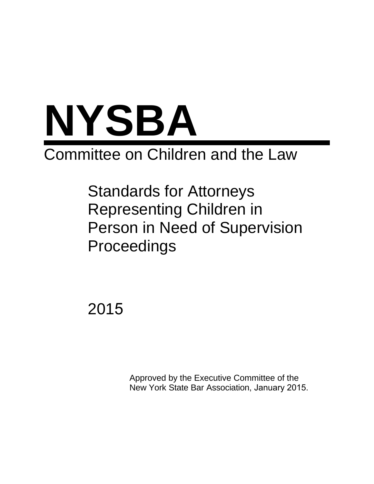

# Committee on Children and the Law

Standards for Attorneys Representing Children in Person in Need of Supervision Proceedings

2015

Approved by the Executive Committee of the New York State Bar Association, January 2015.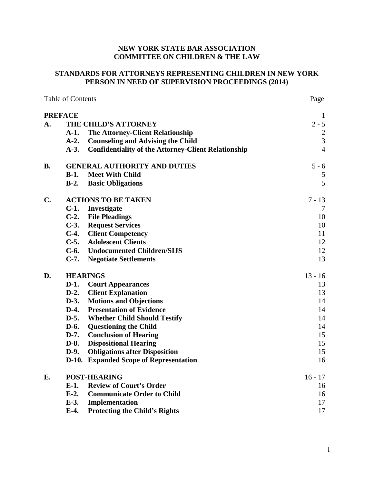## NEW YORK STATE BAR ASSOCIATION **COMMITTEE ON CHILDREN & THE LAW**

## STANDARDS FOR ATTORNEYS REPRESENTING CHILDREN IN NEW YORK PERSON IN NEED OF SUPERVISION PROCEEDINGS (2014)

| <b>Table of Contents</b> |                                     | Page                                                       |                |
|--------------------------|-------------------------------------|------------------------------------------------------------|----------------|
|                          | <b>PREFACE</b>                      |                                                            | $\mathbf{1}$   |
| A.                       | THE CHILD'S ATTORNEY                |                                                            | $2 - 5$        |
|                          | $A-1.$                              | <b>The Attorney-Client Relationship</b>                    | $\sqrt{2}$     |
|                          | $A-2.$                              | <b>Counseling and Advising the Child</b>                   | 3              |
|                          | $A-3.$                              | <b>Confidentiality of the Attorney-Client Relationship</b> | $\overline{4}$ |
| <b>B.</b>                | <b>GENERAL AUTHORITY AND DUTIES</b> |                                                            | $5 - 6$        |
|                          | <b>Meet With Child</b><br>$B-1.$    |                                                            | 5              |
|                          | $B-2$ .                             | <b>Basic Obligations</b>                                   | 5              |
| $C_{\bullet}$            | <b>ACTIONS TO BE TAKEN</b>          |                                                            | $7 - 13$       |
|                          | $C-1.$                              | Investigate                                                | 7              |
|                          | $C-2$ .                             | <b>File Pleadings</b>                                      | 10             |
|                          | $C-3$ .                             | <b>Request Services</b>                                    | 10             |
|                          | $C-4.$                              | <b>Client Competency</b>                                   | 11             |
|                          | $C-5.$                              | <b>Adolescent Clients</b>                                  | 12             |
|                          | $C-6.$                              | <b>Undocumented Children/SIJS</b>                          | 12             |
|                          | $C-7.$                              | <b>Negotiate Settlements</b>                               | 13             |
| D.                       | <b>HEARINGS</b>                     |                                                            | $13 - 16$      |
|                          | $D-1.$                              | <b>Court Appearances</b>                                   | 13             |
|                          | $D-2.$                              | <b>Client Explanation</b>                                  | 13             |
|                          | $D-3.$                              | <b>Motions and Objections</b>                              | 14             |
|                          | $D-4.$                              | <b>Presentation of Evidence</b>                            | 14             |
|                          | $D-5.$                              | <b>Whether Child Should Testify</b>                        | 14             |
|                          | $D-6.$                              | <b>Questioning the Child</b>                               | 14             |
|                          | $D-7.$                              | <b>Conclusion of Hearing</b>                               | 15             |
|                          | $D-8.$                              | <b>Dispositional Hearing</b>                               | 15             |
|                          | $D-9.$                              | <b>Obligations after Disposition</b>                       | 15             |
|                          | $D-10.$                             | <b>Expanded Scope of Representation</b>                    | 16             |
| E.                       | <b>POST-HEARING</b>                 |                                                            | $16 - 17$      |
|                          | $E-1.$                              | <b>Review of Court's Order</b>                             | 16             |
|                          | $E-2$ .                             | <b>Communicate Order to Child</b>                          | 16             |
|                          | $E-3$ .                             | Implementation                                             | 17             |
|                          | $E-4.$                              | <b>Protecting the Child's Rights</b>                       | 17             |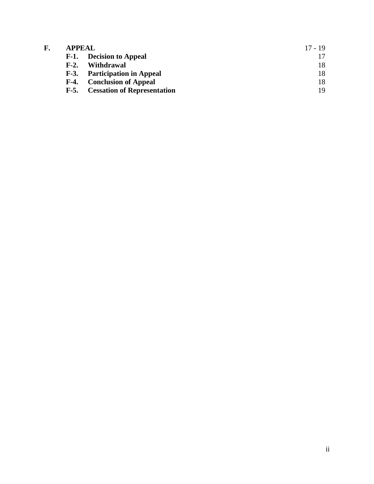| F. | <b>APPEAL</b>                                | $17 - 19$ |
|----|----------------------------------------------|-----------|
|    | F-1. Decision to Appeal                      |           |
|    | Withdrawal<br>$F-2$ .                        | 18        |
|    | <b>F-3.</b> Participation in Appeal          | 18        |
|    | <b>Conclusion of Appeal</b><br>$F-4.$        | 18        |
|    | <b>Cessation of Representation</b><br>$F-5.$ | 19        |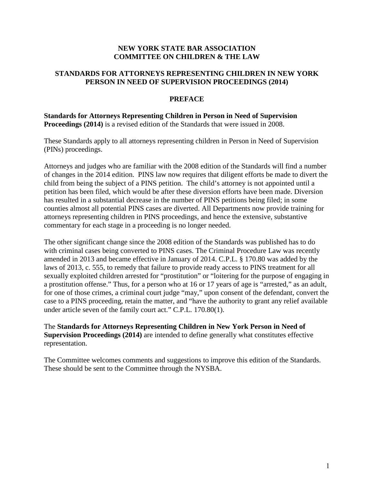## **NEW YORK STATE BAR ASSOCIATION COMMITTEE ON CHILDREN & THE LAW**

## **STANDARDS FOR ATTORNEYS REPRESENTING CHILDREN IN NEW YORK PERSON IN NEED OF SUPERVISION PROCEEDINGS (2014)**

## **PREFACE**

## **Standards for Attorneys Representing Children in Person in Need of Supervision Proceedings (2014)** is a revised edition of the Standards that were issued in 2008.

These Standards apply to all attorneys representing children in Person in Need of Supervision (PINs) proceedings.

Attorneys and judges who are familiar with the 2008 edition of the Standards will find a number of changes in the 2014 edition. PINS law now requires that diligent efforts be made to divert the child from being the subject of a PINS petition. The child's attorney is not appointed until a petition has been filed, which would be after these diversion efforts have been made. Diversion has resulted in a substantial decrease in the number of PINS petitions being filed; in some counties almost all potential PINS cases are diverted. All Departments now provide training for attorneys representing children in PINS proceedings, and hence the extensive, substantive commentary for each stage in a proceeding is no longer needed.

The other significant change since the 2008 edition of the Standards was published has to do with criminal cases being converted to PINS cases. The Criminal Procedure Law was recently amended in 2013 and became effective in January of 2014. C.P.L. § 170.80 was added by the laws of 2013, c. 555, to remedy that failure to provide ready access to PINS treatment for all sexually exploited children arrested for "prostitution" or "loitering for the purpose of engaging in a prostitution offense." Thus, for a person who at 16 or 17 years of age is "arrested," as an adult, for one of those crimes, a criminal court judge "may," upon consent of the defendant, convert the case to a PINS proceeding, retain the matter, and "have the authority to grant any relief available under article seven of the family court act." C.P.L. 170.80(1).

The **Standards for Attorneys Representing Children in New York Person in Need of Supervision Proceedings (2014)** are intended to define generally what constitutes effective representation.

The Committee welcomes comments and suggestions to improve this edition of the Standards. These should be sent to the Committee through the NYSBA.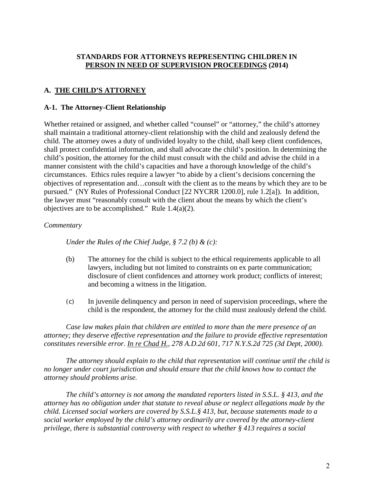## **STANDARDS FOR ATTORNEYS REPRESENTING CHILDREN IN PERSON IN NEED OF SUPERVISION PROCEEDINGS (2014)**

# **A. THE CHILD'S ATTORNEY**

## **A-1. The Attorney-Client Relationship**

Whether retained or assigned, and whether called "counsel" or "attorney," the child's attorney shall maintain a traditional attorney-client relationship with the child and zealously defend the child. The attorney owes a duty of undivided loyalty to the child, shall keep client confidences, shall protect confidential information, and shall advocate the child's position. In determining the child's position, the attorney for the child must consult with the child and advise the child in a manner consistent with the child's capacities and have a thorough knowledge of the child's circumstances. Ethics rules require a lawyer "to abide by a client's decisions concerning the objectives of representation and…consult with the client as to the means by which they are to be pursued." (NY Rules of Professional Conduct [22 NYCRR 1200.0], rule 1.2[a]).In addition, the lawyer must "reasonably consult with the client about the means by which the client's objectives are to be accomplished." Rule  $1.4(a)(2)$ .

## *Commentary*

*Under the Rules of the Chief Judge, § 7.2 (b) & (c):* 

- (b) The attorney for the child is subject to the ethical requirements applicable to all lawyers, including but not limited to constraints on ex parte communication; disclosure of client confidences and attorney work product; conflicts of interest; and becoming a witness in the litigation.
- (c) In juvenile delinquency and person in need of supervision proceedings, where the child is the respondent, the attorney for the child must zealously defend the child.

*Case law makes plain that children are entitled to more than the mere presence of an attorney; they deserve effective representation and the failure to provide effective representation constitutes reversible error. In re Chad H., 278 A.D.2d 601, 717 N.Y.S.2d 725 (3d Dept, 2000).* 

*The attorney should explain to the child that representation will continue until the child is no longer under court jurisdiction and should ensure that the child knows how to contact the attorney should problems arise.* 

*The child's attorney is not among the mandated reporters listed in S.S.L. § 413, and the attorney has no obligation under that statute to reveal abuse or neglect allegations made by the child. Licensed social workers are covered by S.S.L.§ 413, but, because statements made to a social worker employed by the child's attorney ordinarily are covered by the attorney-client privilege, there is substantial controversy with respect to whether § 413 requires a social*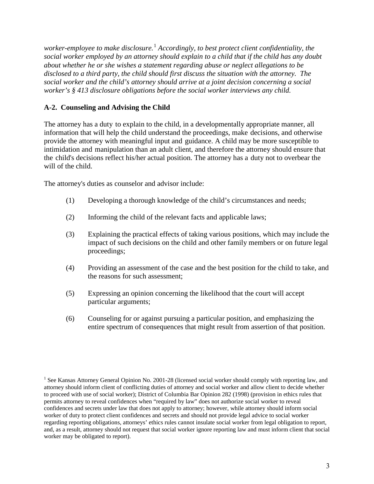*worker-employee to make disclosure.*[1](#page-6-0) *Accordingly, to best protect client confidentiality, the social worker employed by an attorney should explain to a child that if the child has any doubt about whether he or she wishes a statement regarding abuse or neglect allegations to be disclosed to a third party, the child should first discuss the situation with the attorney. The social worker and the child's attorney should arrive at a joint decision concerning a social worker's § 413 disclosure obligations before the social worker interviews any child.* 

## **A-2. Counseling and Advising the Child**

The attorney has a duty to explain to the child, in a developmentally appropriate manner, all information that will help the child understand the proceedings, make decisions, and otherwise provide the attorney with meaningful input and guidance. A child may be more susceptible to intimidation and manipulation than an adult client, and therefore the attorney should ensure that the child's decisions reflect his/her actual position. The attorney has a duty not to overbear the will of the child.

The attorney's duties as counselor and advisor include:

- (1) Developing a thorough knowledge of the child's circumstances and needs;
- (2) Informing the child of the relevant facts and applicable laws;
- (3) Explaining the practical effects of taking various positions, which may include the impact of such decisions on the child and other family members or on future legal proceedings;
- (4) Providing an assessment of the case and the best position for the child to take, and the reasons for such assessment;
- (5) Expressing an opinion concerning the likelihood that the court will accept particular arguments;
- (6) Counseling for or against pursuing a particular position, and emphasizing the entire spectrum of consequences that might result from assertion of that position.

<span id="page-6-0"></span><sup>&</sup>lt;sup>1</sup> See Kansas Attorney General Opinion No. 2001-28 (licensed social worker should comply with reporting law, and attorney should inform client of conflicting duties of attorney and social worker and allow client to decide whether to proceed with use of social worker); District of Columbia Bar Opinion 282 (1998) (provision in ethics rules that permits attorney to reveal confidences when "required by law" does not authorize social worker to reveal confidences and secrets under law that does not apply to attorney; however, while attorney should inform social worker of duty to protect client confidences and secrets and should not provide legal advice to social worker regarding reporting obligations, attorneys' ethics rules cannot insulate social worker from legal obligation to report, and, as a result, attorney should not request that social worker ignore reporting law and must inform client that social worker may be obligated to report).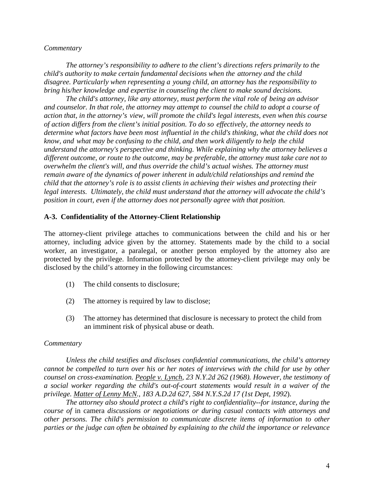*The attorney's responsibility to adhere to the client's directions refers primarily to the child's authority to make certain fundamental decisions when the attorney and the child disagree. Particularly when representing a young child, an attorney has the responsibility to bring his/her knowledge and expertise in counseling the client to make sound decisions.*

*The child's attorney, like any attorney, must perform the vital role of being an advisor and counselor. In that role, the attorney may attempt to counsel the child to adopt a course of action that, in the attorney's view, will promote the child's legal interests, even when this course of action differs from the client's initial position. To do so effectively, the attorney needs to determine what factors have been most influential in the child's thinking, what the child does not know, and what may be confusing to the child, and then work diligently to help the child understand the attorney's perspective and thinking. While explaining why the attorney believes a different outcome, or route to the outcome, may be preferable, the attorney must take care not to overwhelm the client's will, and thus override the child's actual wishes. The attorney must remain aware of the dynamics of power inherent in adult/child relationships and remind the child that the attorney's role is to assist clients in achieving their wishes and protecting their legal interests. Ultimately, the child must understand that the attorney will advocate the child's position in court, even if the attorney does not personally agree with that position.* 

## **A-3. Confidentiality of the Attorney-Client Relationship**

The attorney-client privilege attaches to communications between the child and his or her attorney, including advice given by the attorney. Statements made by the child to a social worker, an investigator, a paralegal, or another person employed by the attorney also are protected by the privilege. Information protected by the attorney-client privilege may only be disclosed by the child's attorney in the following circumstances:

- (1) The child consents to disclosure;
- (2) The attorney is required by law to disclose;
- (3) The attorney has determined that disclosure is necessary to protect the child from an imminent risk of physical abuse or death.

#### *Commentary*

*Unless the child testifies and discloses confidential communications, the child's attorney cannot be compelled to turn over his or her notes of interviews with the child for use by other counsel on cross-examination. People v. Lynch, 23 N.Y.2d 262 (1968). However, the testimony of a social worker regarding the child's out-of-court statements would result in a waiver of the privilege. Matter of Lenny McN., 183 A.D.2d 627, 584 N.Y.S.2d 17 (1st Dept, 1992*).

*The attorney also should protect a child's right to confidentiality--for instance, during the course of* in camera *discussions or negotiations or during casual contacts with attorneys and other persons. The child's permission to communicate discrete items of information to other parties or the judge can often be obtained by explaining to the child the importance or relevance*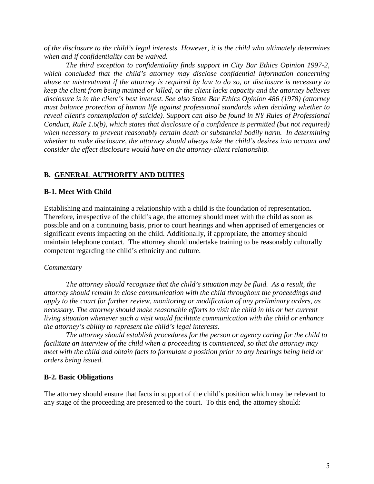*of the disclosure to the child's legal interests. However, it is the child who ultimately determines when and if confidentiality can be waived.* 

*The third exception to confidentiality finds support in City Bar Ethics Opinion 1997-2, which concluded that the child's attorney may disclose confidential information concerning abuse or mistreatment if the attorney is required by law to do so, or disclosure is necessary to keep the client from being maimed or killed, or the client lacks capacity and the attorney believes disclosure is in the client's best interest. See also State Bar Ethics Opinion 486 (1978) (attorney must balance protection of human life against professional standards when deciding whether to reveal client's contemplation of suicide). Support can also be found in NY Rules of Professional Conduct, Rule 1.6(b), which states that disclosure of a confidence is permitted (but not required) when necessary to prevent reasonably certain death or substantial bodily harm. In determining whether to make disclosure, the attorney should always take the child's desires into account and consider the effect disclosure would have on the attorney-client relationship.*

## **B. GENERAL AUTHORITY AND DUTIES**

## **B-1. Meet With Child**

Establishing and maintaining a relationship with a child is the foundation of representation. Therefore, irrespective of the child's age, the attorney should meet with the child as soon as possible and on a continuing basis, prior to court hearings and when apprised of emergencies or significant events impacting on the child. Additionally, if appropriate, the attorney should maintain telephone contact. The attorney should undertake training to be reasonably culturally competent regarding the child's ethnicity and culture.

## *Commentary*

*The attorney should recognize that the child's situation may be fluid. As a result, the attorney should remain in close communication with the child throughout the proceedings and apply to the court for further review, monitoring or modification of any preliminary orders, as necessary. The attorney should make reasonable efforts to visit the child in his or her current living situation whenever such a visit would facilitate communication with the child or enhance the attorney's ability to represent the child's legal interests.* 

*The attorney should establish procedures for the person or agency caring for the child to facilitate an interview of the child when a proceeding is commenced, so that the attorney may meet with the child and obtain facts to formulate a position prior to any hearings being held or orders being issued.* 

## **B-2. Basic Obligations**

The attorney should ensure that facts in support of the child's position which may be relevant to any stage of the proceeding are presented to the court. To this end, the attorney should: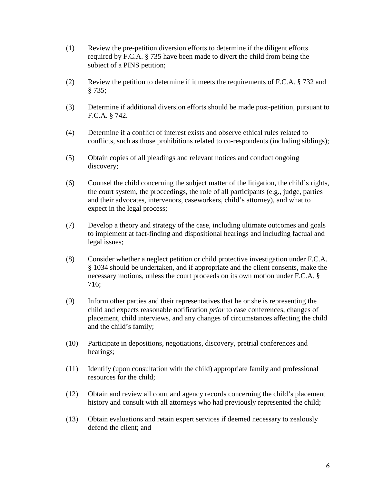- (1) Review the pre-petition diversion efforts to determine if the diligent efforts required by F.C.A. § 735 have been made to divert the child from being the subject of a PINS petition;
- (2) Review the petition to determine if it meets the requirements of F.C.A. § 732 and § 735;
- (3) Determine if additional diversion efforts should be made post-petition, pursuant to F.C.A. § 742.
- (4) Determine if a conflict of interest exists and observe ethical rules related to conflicts, such as those prohibitions related to co-respondents (including siblings);
- (5) Obtain copies of all pleadings and relevant notices and conduct ongoing discovery;
- (6) Counsel the child concerning the subject matter of the litigation, the child's rights, the court system, the proceedings, the role of all participants (e.g., judge, parties and their advocates, intervenors, caseworkers, child's attorney), and what to expect in the legal process;
- (7) Develop a theory and strategy of the case, including ultimate outcomes and goals to implement at fact-finding and dispositional hearings and including factual and legal issues;
- (8) Consider whether a neglect petition or child protective investigation under F.C.A. § 1034 should be undertaken, and if appropriate and the client consents, make the necessary motions, unless the court proceeds on its own motion under F.C.A. § 716;
- (9) Inform other parties and their representatives that he or she is representing the child and expects reasonable notification *prior* to case conferences, changes of placement, child interviews, and any changes of circumstances affecting the child and the child's family;
- (10) Participate in depositions, negotiations, discovery, pretrial conferences and hearings;
- (11) Identify (upon consultation with the child) appropriate family and professional resources for the child;
- (12) Obtain and review all court and agency records concerning the child's placement history and consult with all attorneys who had previously represented the child;
- (13) Obtain evaluations and retain expert services if deemed necessary to zealously defend the client; and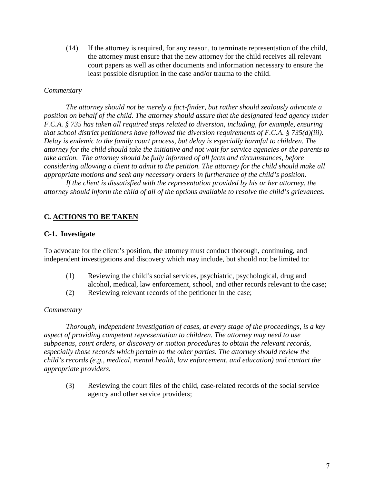(14) If the attorney is required, for any reason, to terminate representation of the child, the attorney must ensure that the new attorney for the child receives all relevant court papers as well as other documents and information necessary to ensure the least possible disruption in the case and/or trauma to the child.

## *Commentary*

*The attorney should not be merely a fact-finder, but rather should zealously advocate a position on behalf of the child. The attorney should assure that the designated lead agency under F.C.A. § 735 has taken all required steps related to diversion, including, for example, ensuring that school district petitioners have followed the diversion requirements of F.C.A. § 735(d)(iii). Delay is endemic to the family court process, but delay is especially harmful to children. The attorney for the child should take the initiative and not wait for service agencies or the parents to take action. The attorney should be fully informed of all facts and circumstances, before considering allowing a client to admit to the petition. The attorney for the child should make all appropriate motions and seek any necessary orders in furtherance of the child's position.* 

*If the client is dissatisfied with the representation provided by his or her attorney, the attorney should inform the child of all of the options available to resolve the child's grievances.* 

## **C. ACTIONS TO BE TAKEN**

#### **C-1. Investigate**

To advocate for the client's position, the attorney must conduct thorough, continuing, and independent investigations and discovery which may include, but should not be limited to:

- (1) Reviewing the child's social services, psychiatric, psychological, drug and alcohol, medical, law enforcement, school, and other records relevant to the case;
- (2) Reviewing relevant records of the petitioner in the case;

#### *Commentary*

*Thorough, independent investigation of cases, at every stage of the proceedings, is a key aspect of providing competent representation to children. The attorney may need to use subpoenas, court orders, or discovery or motion procedures to obtain the relevant records, especially those records which pertain to the other parties. The attorney should review the child's records (e.g., medical, mental health, law enforcement, and education) and contact the appropriate providers.* 

(3) Reviewing the court files of the child, case-related records of the social service agency and other service providers;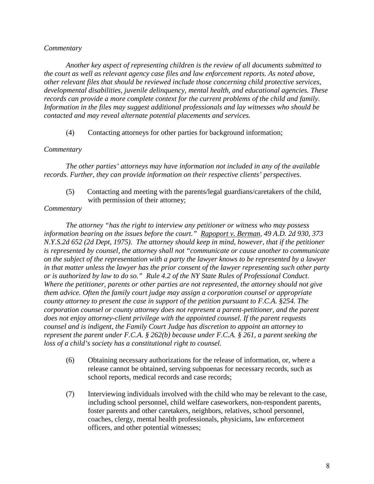*Another key aspect of representing children is the review of all documents submitted to the court as well as relevant agency case files and law enforcement reports. As noted above, other relevant files that should be reviewed include those concerning child protective services, developmental disabilities, juvenile delinquency, mental health, and educational agencies. These records can provide a more complete context for the current problems of the child and family. Information in the files may suggest additional professionals and lay witnesses who should be contacted and may reveal alternate potential placements and services.* 

(4) Contacting attorneys for other parties for background information;

## *Commentary*

*The other parties' attorneys may have information not included in any of the available records. Further, they can provide information on their respective clients' perspectives.* 

 (5) Contacting and meeting with the parents/legal guardians/caretakers of the child, with permission of their attorney;

## *Commentary*

*The attorney "has the right to interview any petitioner or witness who may possess information bearing on the issues before the court." Rapoport v. Berman, 49 A.D. 2d 930, 373 N.Y.S.2d 652 (2d Dept, 1975). The attorney should keep in mind, however, that if the petitioner is represented by counsel, the attorney shall not "communicate or cause another to communicate on the subject of the representation with a party the lawyer knows to be represented by a lawyer in that matter unless the lawyer has the prior consent of the lawyer representing such other party or is authorized by law to do so." Rule 4.2 of the NY State Rules of Professional Conduct*. *Where the petitioner, parents or other parties are not represented, the attorney should not give them advice. Often the family court judge may assign a corporation counsel or appropriate county attorney to present the case in support of the petition pursuant to F.C.A. §254. The corporation counsel or county attorney does not represent a parent-petitioner, and the parent does not enjoy attorney-client privilege with the appointed counsel. If the parent requests counsel and is indigent, the Family Court Judge has discretion to appoint an attorney to represent the parent under F.C.A. § 262(b) because under F.C.A. § 261, a parent seeking the loss of a child's society has a constitutional right to counsel.* 

- (6) Obtaining necessary authorizations for the release of information, or, where a release cannot be obtained, serving subpoenas for necessary records, such as school reports, medical records and case records;
- (7) Interviewing individuals involved with the child who may be relevant to the case, including school personnel, child welfare caseworkers, non-respondent parents, foster parents and other caretakers, neighbors, relatives, school personnel, coaches, clergy, mental health professionals, physicians, law enforcement officers, and other potential witnesses;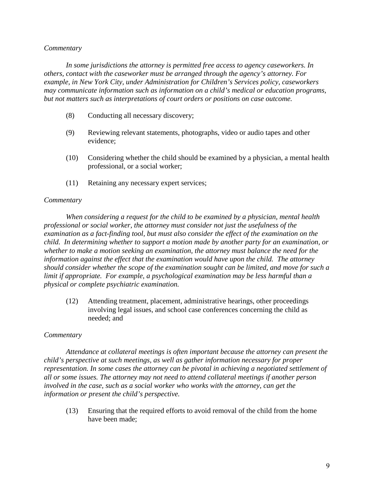*In some jurisdictions the attorney is permitted free access to agency caseworkers. In others, contact with the caseworker must be arranged through the agency's attorney. For example, in New York City, under Administration for Children's Services policy, caseworkers may communicate information such as information on a child's medical or education programs, but not matters such as interpretations of court orders or positions on case outcome.* 

- (8) Conducting all necessary discovery;
- (9) Reviewing relevant statements, photographs, video or audio tapes and other evidence;
- (10) Considering whether the child should be examined by a physician, a mental health professional, or a social worker;
- (11) Retaining any necessary expert services;

#### *Commentary*

*When considering a request for the child to be examined by a physician, mental health professional or social worker, the attorney must consider not just the usefulness of the examination as a fact-finding tool, but must also consider the effect of the examination on the child. In determining whether to support a motion made by another party for an examination, or whether to make a motion seeking an examination, the attorney must balance the need for the information against the effect that the examination would have upon the child. The attorney should consider whether the scope of the examination sought can be limited, and move for such a limit if appropriate. For example, a psychological examination may be less harmful than a physical or complete psychiatric examination.* 

(12) Attending treatment, placement, administrative hearings, other proceedings involving legal issues, and school case conferences concerning the child as needed; and

## *Commentary*

*Attendance at collateral meetings is often important because the attorney can present the child's perspective at such meetings, as well as gather information necessary for proper representation. In some cases the attorney can be pivotal in achieving a negotiated settlement of all or some issues. The attorney may not need to attend collateral meetings if another person involved in the case, such as a social worker who works with the attorney, can get the information or present the child's perspective.* 

(13) Ensuring that the required efforts to avoid removal of the child from the home have been made;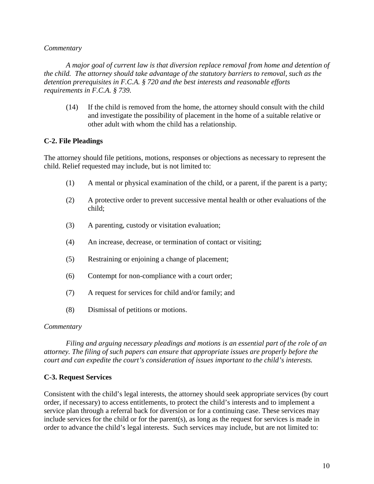*A major goal of current law is that diversion replace removal from home and detention of the child. The attorney should take advantage of the statutory barriers to removal, such as the detention prerequisites in F.C.A. § 720 and the best interests and reasonable efforts requirements in F.C.A. § 739.* 

(14) If the child is removed from the home, the attorney should consult with the child and investigate the possibility of placement in the home of a suitable relative or other adult with whom the child has a relationship.

## **C-2. File Pleadings**

The attorney should file petitions, motions, responses or objections as necessary to represent the child. Relief requested may include, but is not limited to:

- (1) A mental or physical examination of the child, or a parent, if the parent is a party;
- (2) A protective order to prevent successive mental health or other evaluations of the child;
- (3) A parenting, custody or visitation evaluation;
- (4) An increase, decrease, or termination of contact or visiting;
- (5) Restraining or enjoining a change of placement;
- (6) Contempt for non-compliance with a court order;
- (7) A request for services for child and/or family; and
- (8) Dismissal of petitions or motions.

#### *Commentary*

*Filing and arguing necessary pleadings and motions is an essential part of the role of an attorney. The filing of such papers can ensure that appropriate issues are properly before the court and can expedite the court's consideration of issues important to the child's interests.* 

## **C-3. Request Services**

Consistent with the child's legal interests, the attorney should seek appropriate services (by court order, if necessary) to access entitlements, to protect the child's interests and to implement a service plan through a referral back for diversion or for a continuing case. These services may include services for the child or for the parent(s), as long as the request for services is made in order to advance the child's legal interests. Such services may include, but are not limited to: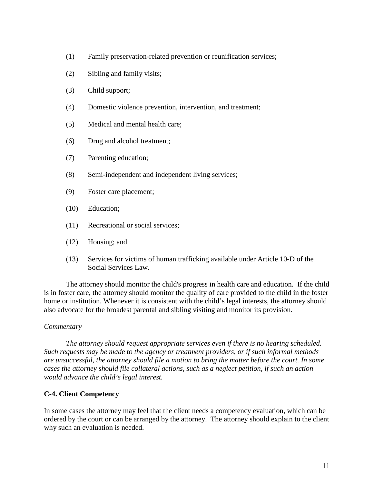- (1) Family preservation-related prevention or reunification services;
- (2) Sibling and family visits;
- (3) Child support;
- (4) Domestic violence prevention, intervention, and treatment;
- (5) Medical and mental health care;
- (6) Drug and alcohol treatment;
- (7) Parenting education;
- (8) Semi-independent and independent living services;
- (9) Foster care placement;
- (10) Education;
- (11) Recreational or social services;
- (12) Housing; and
- (13) Services for victims of human trafficking available under Article 10-D of the Social Services Law.

The attorney should monitor the child's progress in health care and education. If the child is in foster care, the attorney should monitor the quality of care provided to the child in the foster home or institution. Whenever it is consistent with the child's legal interests, the attorney should also advocate for the broadest parental and sibling visiting and monitor its provision.

## *Commentary*

*The attorney should request appropriate services even if there is no hearing scheduled. Such requests may be made to the agency or treatment providers, or if such informal methods are unsuccessful, the attorney should file a motion to bring the matter before the court. In some cases the attorney should file collateral actions, such as a neglect petition, if such an action would advance the child's legal interest.* 

## **C-4. Client Competency**

In some cases the attorney may feel that the client needs a competency evaluation, which can be ordered by the court or can be arranged by the attorney. The attorney should explain to the client why such an evaluation is needed.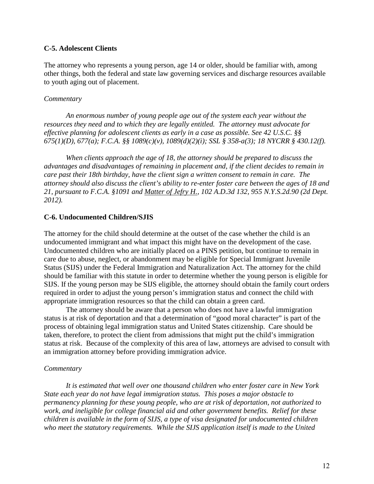## **C-5. Adolescent Clients**

The attorney who represents a young person, age 14 or older, should be familiar with, among other things, both the federal and state law governing services and discharge resources available to youth aging out of placement.

#### *Commentary*

 *An enormous number of young people age out of the system each year without the resources they need and to which they are legally entitled. The attorney must advocate for effective planning for adolescent clients as early in a case as possible. See 42 U.S.C. §§ 675(1)(D), 677(a); F.C.A. §§ 1089(c)(v), 1089(d)(2)(i); SSL § 358-a(3); 18 NYCRR § 430.12(f).* 

 *When clients approach the age of 18, the attorney should be prepared to discuss the advantages and disadvantages of remaining in placement and, if the client decides to remain in care past their 18th birthday, have the client sign a written consent to remain in care. The attorney should also discuss the client's ability to re-enter foster care between the ages of 18 and 21, pursuant to F.C.A. §1091 and Matter of Jefry H., 102 A.D.3d 132, 955 N.Y.S.2d.90 (2d Dept. 2012).* 

## **C-6. Undocumented Children/SJIS**

The attorney for the child should determine at the outset of the case whether the child is an undocumented immigrant and what impact this might have on the development of the case. Undocumented children who are initially placed on a PINS petition, but continue to remain in care due to abuse, neglect, or abandonment may be eligible for Special Immigrant Juvenile Status (SIJS) under the Federal Immigration and Naturalization Act. The attorney for the child should be familiar with this statute in order to determine whether the young person is eligible for SIJS. If the young person may be SIJS eligible, the attorney should obtain the family court orders required in order to adjust the young person's immigration status and connect the child with appropriate immigration resources so that the child can obtain a green card.

The attorney should be aware that a person who does not have a lawful immigration status is at risk of deportation and that a determination of "good moral character" is part of the process of obtaining legal immigration status and United States citizenship. Care should be taken, therefore, to protect the client from admissions that might put the child's immigration status at risk. Because of the complexity of this area of law, attorneys are advised to consult with an immigration attorney before providing immigration advice.

#### *Commentary*

*It is estimated that well over one thousand children who enter foster care in New York State each year do not have legal immigration status. This poses a major obstacle to permanency planning for these young people, who are at risk of deportation, not authorized to work, and ineligible for college financial aid and other government benefits. Relief for these children is available in the form of SIJS, a type of visa designated for undocumented children who meet the statutory requirements. While the SIJS application itself is made to the United*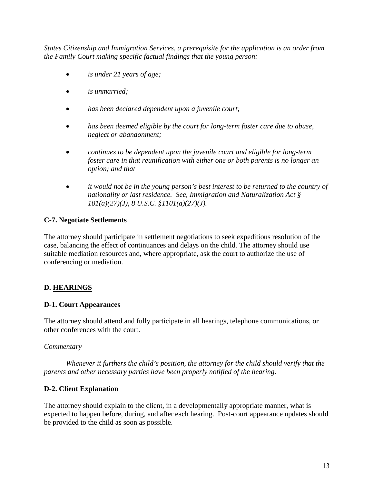*States Citizenship and Immigration Services, a prerequisite for the application is an order from the Family Court making specific factual findings that the young person:* 

- *is under 21 years of age;*
- *is unmarried;*
- *has been declared dependent upon a juvenile court;*
- *has been deemed eligible by the court for long-term foster care due to abuse, neglect or abandonment;*
- *continues to be dependent upon the juvenile court and eligible for long-term foster care in that reunification with either one or both parents is no longer an option; and that*
- *it would not be in the young person's best interest to be returned to the country of nationality or last residence. See, Immigration and Naturalization Act § 101(a)(27)(J), 8 U.S.C. §1101(a)(27)(J).*

## **C-7. Negotiate Settlements**

The attorney should participate in settlement negotiations to seek expeditious resolution of the case, balancing the effect of continuances and delays on the child. The attorney should use suitable mediation resources and, where appropriate, ask the court to authorize the use of conferencing or mediation.

# **D. HEARINGS**

## **D-1. Court Appearances**

The attorney should attend and fully participate in all hearings, telephone communications, or other conferences with the court.

## *Commentary*

*Whenever it furthers the child's position, the attorney for the child should verify that the parents and other necessary parties have been properly notified of the hearing.* 

## **D-2. Client Explanation**

The attorney should explain to the client, in a developmentally appropriate manner, what is expected to happen before, during, and after each hearing. Post-court appearance updates should be provided to the child as soon as possible.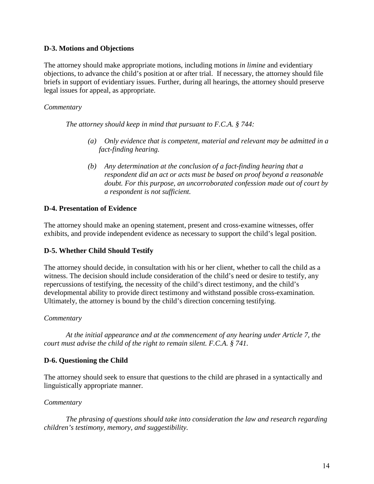## **D-3. Motions and Objections**

The attorney should make appropriate motions, including motions *in limine* and evidentiary objections, to advance the child's position at or after trial. If necessary, the attorney should file briefs in support of evidentiary issues. Further, during all hearings, the attorney should preserve legal issues for appeal, as appropriate.

## *Commentary*

*The attorney should keep in mind that pursuant to F.C.A. § 744:*

- *(a) Only evidence that is competent, material and relevant may be admitted in a fact-finding hearing.*
- *(b) Any determination at the conclusion of a fact-finding hearing that a respondent did an act or acts must be based on proof beyond a reasonable doubt. For this purpose, an uncorroborated confession made out of court by a respondent is not sufficient.*

## **D-4. Presentation of Evidence**

The attorney should make an opening statement, present and cross-examine witnesses, offer exhibits, and provide independent evidence as necessary to support the child's legal position.

## **D-5. Whether Child Should Testify**

The attorney should decide, in consultation with his or her client, whether to call the child as a witness. The decision should include consideration of the child's need or desire to testify, any repercussions of testifying, the necessity of the child's direct testimony, and the child's developmental ability to provide direct testimony and withstand possible cross-examination. Ultimately, the attorney is bound by the child's direction concerning testifying.

## *Commentary*

*At the initial appearance and at the commencement of any hearing under Article 7, the court must advise the child of the right to remain silent. F.C.A. § 741.* 

## **D-6. Questioning the Child**

The attorney should seek to ensure that questions to the child are phrased in a syntactically and linguistically appropriate manner.

## *Commentary*

*The phrasing of questions should take into consideration the law and research regarding children's testimony, memory, and suggestibility.*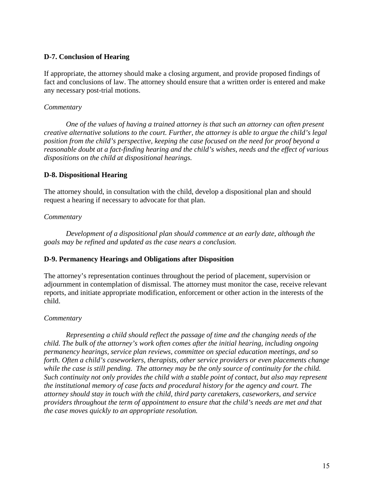## **D-7. Conclusion of Hearing**

If appropriate, the attorney should make a closing argument, and provide proposed findings of fact and conclusions of law. The attorney should ensure that a written order is entered and make any necessary post-trial motions.

## *Commentary*

*One of the values of having a trained attorney is that such an attorney can often present creative alternative solutions to the court. Further, the attorney is able to argue the child's legal position from the child's perspective, keeping the case focused on the need for proof beyond a reasonable doubt at a fact-finding hearing and the child's wishes, needs and the effect of various dispositions on the child at dispositional hearings.* 

## **D-8. Dispositional Hearing**

The attorney should, in consultation with the child, develop a dispositional plan and should request a hearing if necessary to advocate for that plan.

## *Commentary*

 *Development of a dispositional plan should commence at an early date, although the goals may be refined and updated as the case nears a conclusion.* 

## **D-9. Permanency Hearings and Obligations after Disposition**

The attorney's representation continues throughout the period of placement, supervision or adjournment in contemplation of dismissal. The attorney must monitor the case, receive relevant reports, and initiate appropriate modification, enforcement or other action in the interests of the child.

## *Commentary*

*Representing a child should reflect the passage of time and the changing needs of the child. The bulk of the attorney's work often comes after the initial hearing, including ongoing permanency hearings, service plan reviews, committee on special education meetings, and so forth. Often a child's caseworkers, therapists, other service providers or even placements change while the case is still pending. The attorney may be the only source of continuity for the child. Such continuity not only provides the child with a stable point of contact, but also may represent the institutional memory of case facts and procedural history for the agency and court. The attorney should stay in touch with the child, third party caretakers, caseworkers, and service providers throughout the term of appointment to ensure that the child's needs are met and that the case moves quickly to an appropriate resolution.*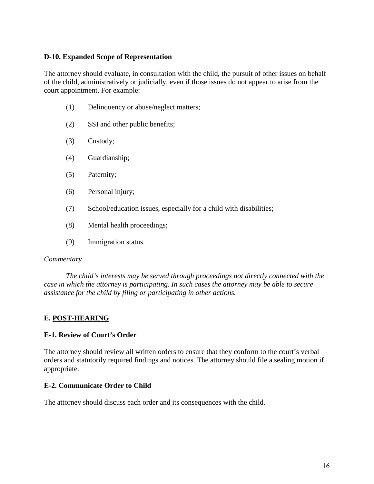## **D-10. Expanded Scope of Representation**

The attorney should evaluate, in consultation with the child, the pursuit of other issues on behalf of the child, administratively or judicially, even if those issues do not appear to arise from the court appointment. For example:

- (1) Delinquency or abuse/neglect matters;
- (2) SSI and other public benefits;
- (3) Custody;
- (4) Guardianship;
- (5) Paternity;
- (6) Personal injury;
- (7) School/education issues, especially for a child with disabilities;
- (8) Mental health proceedings;
- (9) Immigration status.

#### *Commentary*

*The child's interests may be served through proceedings not directly connected with the case in which the attorney is participating. In such cases the attorney may be able to secure assistance for the child by filing or participating in other actions.* 

## **E. POST-HEARING**

## **E-1. Review of Court's Order**

The attorney should review all written orders to ensure that they conform to the court's verbal orders and statutorily required findings and notices. The attorney should file a sealing motion if appropriate.

## **E-2. Communicate Order to Child**

The attorney should discuss each order and its consequences with the child.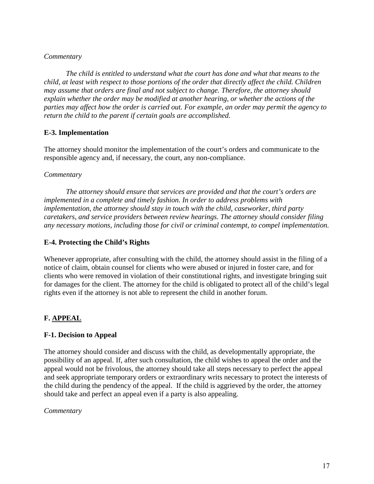*The child is entitled to understand what the court has done and what that means to the child, at least with respect to those portions of the order that directly affect the child. Children may assume that orders are final and not subject to change. Therefore, the attorney should explain whether the order may be modified at another hearing, or whether the actions of the parties may affect how the order is carried out. For example, an order may permit the agency to return the child to the parent if certain goals are accomplished.* 

# **E-3. Implementation**

The attorney should monitor the implementation of the court's orders and communicate to the responsible agency and, if necessary, the court, any non-compliance.

## *Commentary*

*The attorney should ensure that services are provided and that the court's orders are implemented in a complete and timely fashion. In order to address problems with implementation, the attorney should stay in touch with the child, caseworker, third party caretakers, and service providers between review hearings. The attorney should consider filing any necessary motions, including those for civil or criminal contempt, to compel implementation.* 

# **E-4. Protecting the Child's Rights**

Whenever appropriate, after consulting with the child, the attorney should assist in the filing of a notice of claim, obtain counsel for clients who were abused or injured in foster care, and for clients who were removed in violation of their constitutional rights, and investigate bringing suit for damages for the client. The attorney for the child is obligated to protect all of the child's legal rights even if the attorney is not able to represent the child in another forum.

# **F. APPEAL**

# **F-1. Decision to Appeal**

The attorney should consider and discuss with the child, as developmentally appropriate, the possibility of an appeal. If, after such consultation, the child wishes to appeal the order and the appeal would not be frivolous, the attorney should take all steps necessary to perfect the appeal and seek appropriate temporary orders or extraordinary writs necessary to protect the interests of the child during the pendency of the appeal. If the child is aggrieved by the order, the attorney should take and perfect an appeal even if a party is also appealing.

## *Commentary*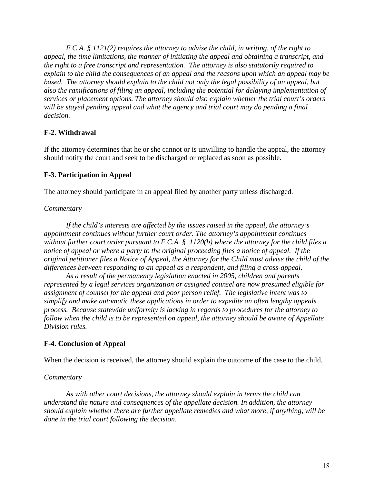*F.C.A. § 1121(2) requires the attorney to advise the child, in writing, of the right to appeal, the time limitations, the manner of initiating the appeal and obtaining a transcript, and the right to a free transcript and representation. The attorney is also statutorily required to explain to the child the consequences of an appeal and the reasons upon which an appeal may be based. The attorney should explain to the child not only the legal possibility of an appeal, but also the ramifications of filing an appeal, including the potential for delaying implementation of services or placement options. The attorney should also explain whether the trial court's orders will be stayed pending appeal and what the agency and trial court may do pending a final decision.* 

# **F-2. Withdrawal**

If the attorney determines that he or she cannot or is unwilling to handle the appeal, the attorney should notify the court and seek to be discharged or replaced as soon as possible.

# **F-3. Participation in Appeal**

The attorney should participate in an appeal filed by another party unless discharged.

## *Commentary*

*If the child's interests are affected by the issues raised in the appeal, the attorney's appointment continues without further court order. The attorney's appointment continues without further court order pursuant to F.C.A. § 1120(b) where the attorney for the child files a notice of appeal or where a party to the original proceeding files a notice of appeal. If the original petitioner files a Notice of Appeal, the Attorney for the Child must advise the child of the differences between responding to an appeal as a respondent, and filing a cross-appeal.* 

*As a result of the permanency legislation enacted in 2005, children and parents represented by a legal services organization or assigned counsel are now presumed eligible for assignment of counsel for the appeal and poor person relief. The legislative intent was to simplify and make automatic these applications in order to expedite an often lengthy appeals process. Because statewide uniformity is lacking in regards to procedures for the attorney to follow when the child is to be represented on appeal, the attorney should be aware of Appellate Division rules.*

## **F-4. Conclusion of Appeal**

When the decision is received, the attorney should explain the outcome of the case to the child.

## *Commentary*

*As with other court decisions, the attorney should explain in terms the child can understand the nature and consequences of the appellate decision. In addition, the attorney should explain whether there are further appellate remedies and what more, if anything, will be done in the trial court following the decision*.